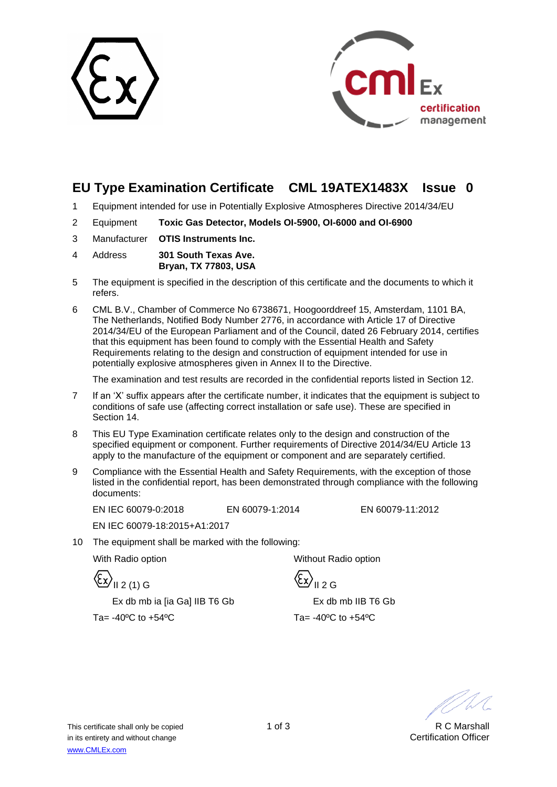



## **EU Type Examination Certificate CML 19ATEX1483X Issue 0**

- 1 Equipment intended for use in Potentially Explosive Atmospheres Directive 2014/34/EU
- 2 Equipment **Toxic Gas Detector, Models OI-5900, OI-6000 and OI-6900**
- 3 Manufacturer **OTIS Instruments Inc.**
- 4 Address **301 South Texas Ave. Bryan, TX 77803, USA**
- 5 The equipment is specified in the description of this certificate and the documents to which it refers.
- 6 CML B.V., Chamber of Commerce No 6738671, Hoogoorddreef 15, Amsterdam, 1101 BA, The Netherlands, Notified Body Number 2776, in accordance with Article 17 of Directive 2014/34/EU of the European Parliament and of the Council, dated 26 February 2014, certifies that this equipment has been found to comply with the Essential Health and Safety Requirements relating to the design and construction of equipment intended for use in potentially explosive atmospheres given in Annex II to the Directive.

The examination and test results are recorded in the confidential reports listed in Section 12.

- 7 If an 'X' suffix appears after the certificate number, it indicates that the equipment is subject to conditions of safe use (affecting correct installation or safe use). These are specified in Section 14.
- 8 This EU Type Examination certificate relates only to the design and construction of the specified equipment or component. Further requirements of Directive 2014/34/EU Article 13 apply to the manufacture of the equipment or component and are separately certified.
- 9 Compliance with the Essential Health and Safety Requirements, with the exception of those listed in the confidential report, has been demonstrated through compliance with the following documents:

EN IEC 60079-0:2018 EN 60079-1:2014 EN 60079-11:2012

EN IEC 60079-18:2015+A1:2017

10 The equipment shall be marked with the following:

 $\langle \xi x \rangle_{\text{II 2 G}}$ 

With Radio option **Without Radio option** 

Ex db mb ia [ia Ga] IIB T6 Gb Ex db mb IIB T6 Gb Ta=  $-40\degree$ C to  $+54\degree$ C Ta=  $-40\degree$ C to  $+54\degree$ C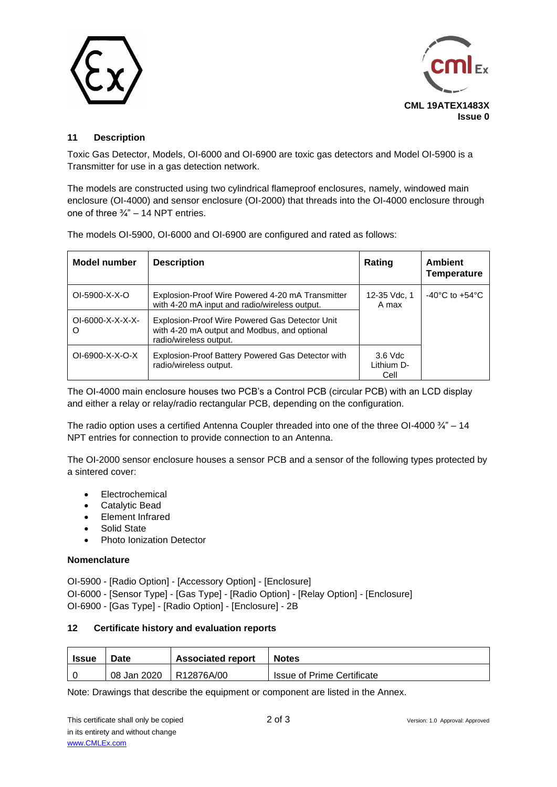



### **11 Description**

Toxic Gas Detector, Models, OI-6000 and OI-6900 are toxic gas detectors and Model OI-5900 is a Transmitter for use in a gas detection network.

The models are constructed using two cylindrical flameproof enclosures, namely, windowed main enclosure (OI-4000) and sensor enclosure (OI-2000) that threads into the OI-4000 enclosure through one of three  $\frac{3}{4}$ " – 14 NPT entries.

| The models OI-5900, OI-6000 and OI-6900 are configured and rated as follows: |  |
|------------------------------------------------------------------------------|--|
|                                                                              |  |

| Model number            | <b>Description</b>                                                                                                       | Rating                          | <b>Ambient</b><br><b>Temperature</b> |
|-------------------------|--------------------------------------------------------------------------------------------------------------------------|---------------------------------|--------------------------------------|
| $OI-5900-X-X-O$         | Explosion-Proof Wire Powered 4-20 mA Transmitter<br>with 4-20 mA input and radio/wireless output.                        | 12-35 Vdc, 1<br>A max           | $-40^{\circ}$ C to $+54^{\circ}$ C   |
| $OI-6000-X-X-X-X-$<br>O | Explosion-Proof Wire Powered Gas Detector Unit<br>with 4-20 mA output and Modbus, and optional<br>radio/wireless output. |                                 |                                      |
| $OI-6900-X-X-O-X$       | Explosion-Proof Battery Powered Gas Detector with<br>radio/wireless output.                                              | $3.6$ Vdc<br>Lithium D-<br>Cell |                                      |

The OI-4000 main enclosure houses two PCB's a Control PCB (circular PCB) with an LCD display and either a relay or relay/radio rectangular PCB, depending on the configuration.

The radio option uses a certified Antenna Coupler threaded into one of the three OI-4000  $\frac{3}{4}$ " – 14 NPT entries for connection to provide connection to an Antenna.

The OI-2000 sensor enclosure houses a sensor PCB and a sensor of the following types protected by a sintered cover:

- Electrochemical
- Catalytic Bead
- Element Infrared
- Solid State
- Photo Ionization Detector

#### **Nomenclature**

OI-5900 - [Radio Option] - [Accessory Option] - [Enclosure] OI-6000 - [Sensor Type] - [Gas Type] - [Radio Option] - [Relay Option] - [Enclosure] OI-6900 - [Gas Type] - [Radio Option] - [Enclosure] - 2B

#### **12 Certificate history and evaluation reports**

| <b>Issue</b> | Date        | <b>Associated report</b> | <b>Notes</b>                      |
|--------------|-------------|--------------------------|-----------------------------------|
|              | 08 Jan 2020 | R12876A/00               | <b>Issue of Prime Certificate</b> |

Note: Drawings that describe the equipment or component are listed in the Annex.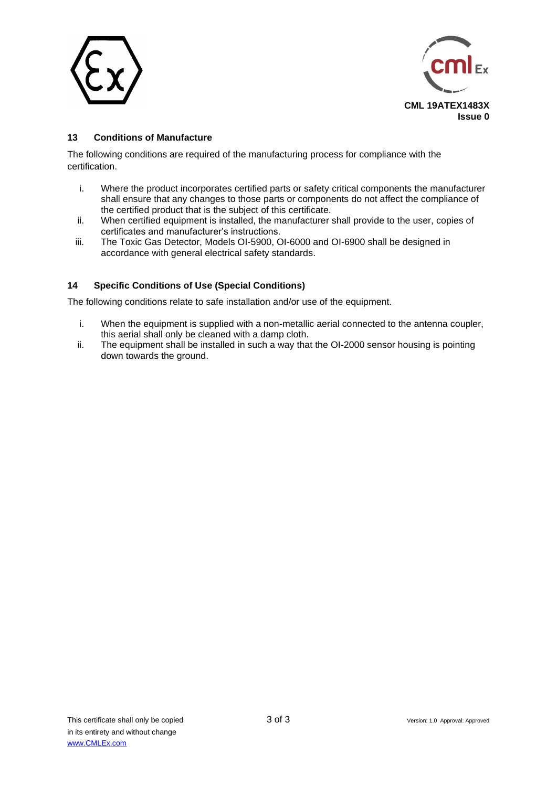



### **13 Conditions of Manufacture**

The following conditions are required of the manufacturing process for compliance with the certification.

- i. Where the product incorporates certified parts or safety critical components the manufacturer shall ensure that any changes to those parts or components do not affect the compliance of the certified product that is the subject of this certificate.
- ii. When certified equipment is installed, the manufacturer shall provide to the user, copies of certificates and manufacturer's instructions.
- iii. The Toxic Gas Detector, Models OI-5900, OI-6000 and OI-6900 shall be designed in accordance with general electrical safety standards.

### **14 Specific Conditions of Use (Special Conditions)**

The following conditions relate to safe installation and/or use of the equipment.

- i. When the equipment is supplied with a non-metallic aerial connected to the antenna coupler, this aerial shall only be cleaned with a damp cloth.
- ii. The equipment shall be installed in such a way that the OI-2000 sensor housing is pointing down towards the ground.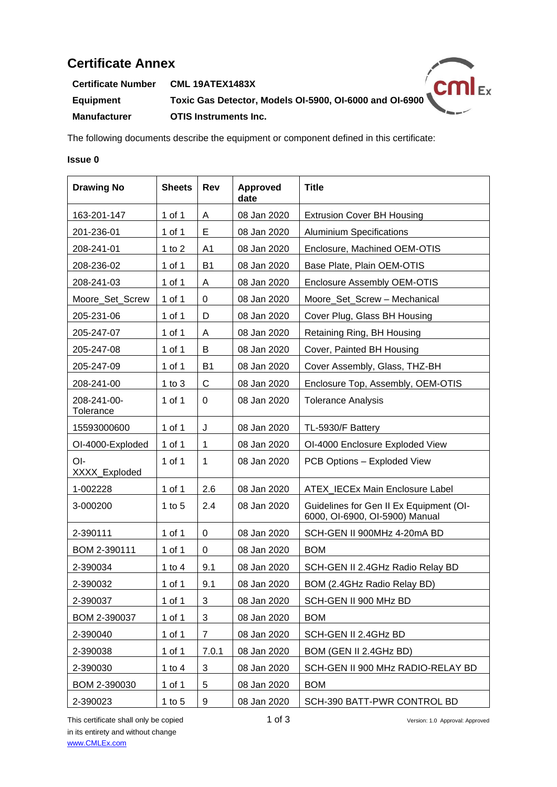# **Certificate Annex**

**Certificate Number CML 19ATEX1483X Example 2.1 Product Final Control Control Control Control Control Control Control Control Control Control Control Control Control Control Control Control Control Control Control Control Control Control Control Control Con Manufacturer OTIS Instruments Inc.**



The following documents describe the equipment or component defined in this certificate:

#### **Issue 0**

| <b>Drawing No</b>        | <b>Sheets</b> | Rev            | Approved<br>date | <b>Title</b>                                                              |
|--------------------------|---------------|----------------|------------------|---------------------------------------------------------------------------|
| 163-201-147              | 1 of 1        | A              | 08 Jan 2020      | <b>Extrusion Cover BH Housing</b>                                         |
| 201-236-01               | 1 of 1        | E              | 08 Jan 2020      | <b>Aluminium Specifications</b>                                           |
| 208-241-01               | 1 to $2$      | A <sub>1</sub> | 08 Jan 2020      | Enclosure, Machined OEM-OTIS                                              |
| 208-236-02               | 1 of 1        | <b>B1</b>      | 08 Jan 2020      | Base Plate, Plain OEM-OTIS                                                |
| 208-241-03               | 1 of 1        | A              | 08 Jan 2020      | <b>Enclosure Assembly OEM-OTIS</b>                                        |
| Moore_Set_Screw          | 1 of 1        | 0              | 08 Jan 2020      | Moore_Set_Screw - Mechanical                                              |
| 205-231-06               | 1 of 1        | D              | 08 Jan 2020      | Cover Plug, Glass BH Housing                                              |
| 205-247-07               | 1 of 1        | A              | 08 Jan 2020      | Retaining Ring, BH Housing                                                |
| 205-247-08               | 1 of 1        | B              | 08 Jan 2020      | Cover, Painted BH Housing                                                 |
| 205-247-09               | 1 of 1        | <b>B1</b>      | 08 Jan 2020      | Cover Assembly, Glass, THZ-BH                                             |
| 208-241-00               | 1 to $3$      | C              | 08 Jan 2020      | Enclosure Top, Assembly, OEM-OTIS                                         |
| 208-241-00-<br>Tolerance | 1 of 1        | 0              | 08 Jan 2020      | <b>Tolerance Analysis</b>                                                 |
| 15593000600              | 1 of 1        | J              | 08 Jan 2020      | TL-5930/F Battery                                                         |
| OI-4000-Exploded         | 1 of 1        | 1              | 08 Jan 2020      | OI-4000 Enclosure Exploded View                                           |
| OI-<br>XXXX_Exploded     | 1 of 1        | 1              | 08 Jan 2020      | PCB Options - Exploded View                                               |
| 1-002228                 | 1 of 1        | 2.6            | 08 Jan 2020      | ATEX_IECEx Main Enclosure Label                                           |
| 3-000200                 | 1 to 5        | 2.4            | 08 Jan 2020      | Guidelines for Gen II Ex Equipment (OI-<br>6000, OI-6900, OI-5900) Manual |
| 2-390111                 | 1 of 1        | $\pmb{0}$      | 08 Jan 2020      | SCH-GEN II 900MHz 4-20mA BD                                               |
| BOM 2-390111             | 1 of 1        | 0              | 08 Jan 2020      | <b>BOM</b>                                                                |
| 2-390034                 | 1 to $4$      | 9.1            | 08 Jan 2020      | SCH-GEN II 2.4GHz Radio Relay BD                                          |
| 2-390032                 | 1 of 1        | 9.1            | 08 Jan 2020      | BOM (2.4GHz Radio Relay BD)                                               |
| 2-390037                 | 1 of 1        | 3              | 08 Jan 2020      | SCH-GEN II 900 MHz BD                                                     |
| BOM 2-390037             | 1 of 1        | 3              | 08 Jan 2020      | <b>BOM</b>                                                                |
| 2-390040                 | 1 of 1        | 7              | 08 Jan 2020      | SCH-GEN II 2.4GHz BD                                                      |
| 2-390038                 | $1$ of $1$    | 7.0.1          | 08 Jan 2020      | BOM (GEN II 2.4GHz BD)                                                    |
| 2-390030                 | 1 to $4$      | 3              | 08 Jan 2020      | SCH-GEN II 900 MHz RADIO-RELAY BD                                         |
| BOM 2-390030             | 1 of 1        | 5              | 08 Jan 2020      | <b>BOM</b>                                                                |
| 2-390023                 | 1 to $5$      | 9              | 08 Jan 2020      | SCH-390 BATT-PWR CONTROL BD                                               |

This certificate shall only be copied 1 of 3 Version: 1.0 Approval: Approved in its entirety and without change [www.CMLEx.com](http://www.cmlex.com/)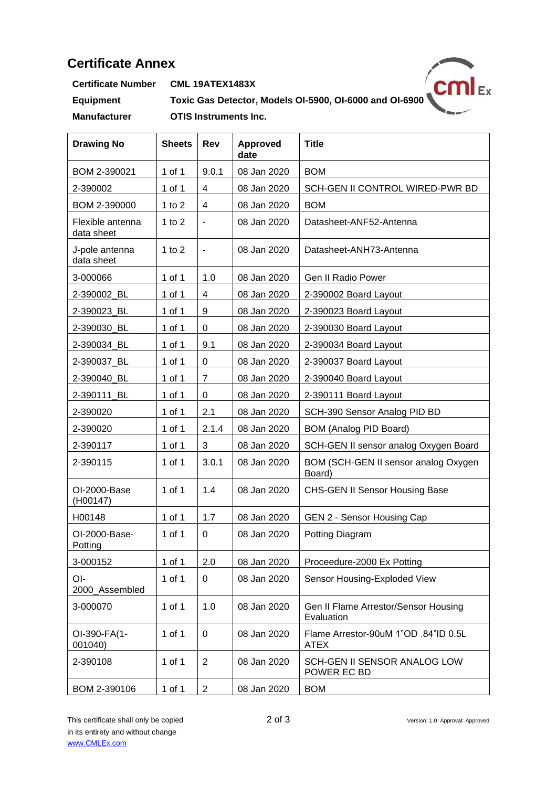## **Certificate Annex**

 $/cml_{Ex}$ 

**Certificate Number CML 19ATEX1483X**

**Equipment Toxic Gas Detector, Models OI-5900, OI-6000 and OI-6900 Manufacturer OTIS Instruments Inc.**

| <b>Drawing No</b>              | <b>Sheets</b> | Rev                      | <b>Approved</b><br>date | <b>Title</b>                                        |
|--------------------------------|---------------|--------------------------|-------------------------|-----------------------------------------------------|
| BOM 2-390021                   | 1 of 1        | 9.0.1                    | 08 Jan 2020             | <b>BOM</b>                                          |
| 2-390002                       | 1 of 1        | 4                        | 08 Jan 2020             | SCH-GEN II CONTROL WIRED-PWR BD                     |
| BOM 2-390000                   | 1 to $2$      | 4                        | 08 Jan 2020             | <b>BOM</b>                                          |
| Flexible antenna<br>data sheet | 1 to $2$      | $\overline{\phantom{a}}$ | 08 Jan 2020             | Datasheet-ANF52-Antenna                             |
| J-pole antenna<br>data sheet   | 1 to $2$      | $\frac{1}{2}$            | 08 Jan 2020             | Datasheet-ANH73-Antenna                             |
| 3-000066                       | 1 of 1        | 1.0                      | 08 Jan 2020             | Gen II Radio Power                                  |
| 2-390002_BL                    | 1 of 1        | 4                        | 08 Jan 2020             | 2-390002 Board Layout                               |
| 2-390023_BL                    | 1 of 1        | 9                        | 08 Jan 2020             | 2-390023 Board Layout                               |
| 2-390030_BL                    | 1 of 1        | 0                        | 08 Jan 2020             | 2-390030 Board Layout                               |
| 2-390034_BL                    | 1 of 1        | 9.1                      | 08 Jan 2020             | 2-390034 Board Layout                               |
| 2-390037 BL                    | 1 of 1        | $\mathbf 0$              | 08 Jan 2020             | 2-390037 Board Layout                               |
| 2-390040_BL                    | 1 of 1        | $\overline{7}$           | 08 Jan 2020             | 2-390040 Board Layout                               |
| 2-390111_BL                    | 1 of 1        | 0                        | 08 Jan 2020             | 2-390111 Board Layout                               |
| 2-390020                       | 1 of 1        | 2.1                      | 08 Jan 2020             | SCH-390 Sensor Analog PID BD                        |
| 2-390020                       | 1 of 1        | 2.1.4                    | 08 Jan 2020             | BOM (Analog PID Board)                              |
| 2-390117                       | 1 of 1        | 3                        | 08 Jan 2020             | SCH-GEN II sensor analog Oxygen Board               |
| 2-390115                       | 1 of 1        | 3.0.1                    | 08 Jan 2020             | BOM (SCH-GEN II sensor analog Oxygen<br>Board)      |
| OI-2000-Base<br>(H00147)       | 1 of 1        | 1.4                      | 08 Jan 2020             | <b>CHS-GEN II Sensor Housing Base</b>               |
| H00148                         | 1 of 1        | 1.7                      | 08 Jan 2020             | GEN 2 - Sensor Housing Cap                          |
| OI-2000-Base-<br>Potting       | 1 of 1        | 0                        | 08 Jan 2020             | Potting Diagram                                     |
| 3-000152                       | 1 of 1        | 2.0                      | 08 Jan 2020             | Proceedure-2000 Ex Potting                          |
| OI-<br>2000 Assembled          | 1 of 1        | 0                        | 08 Jan 2020             | Sensor Housing-Exploded View                        |
| 3-000070                       | 1 of 1        | 1.0                      | 08 Jan 2020             | Gen II Flame Arrestor/Sensor Housing<br>Evaluation  |
| OI-390-FA(1-<br>001040)        | 1 of 1        | 0                        | 08 Jan 2020             | Flame Arrestor-90uM 1"OD .84"ID 0.5L<br><b>ATEX</b> |
| 2-390108                       | 1 of 1        | $\overline{2}$           | 08 Jan 2020             | SCH-GEN II SENSOR ANALOG LOW<br>POWER EC BD         |
| BOM 2-390106                   | 1 of 1        | $\overline{2}$           | 08 Jan 2020             | <b>BOM</b>                                          |